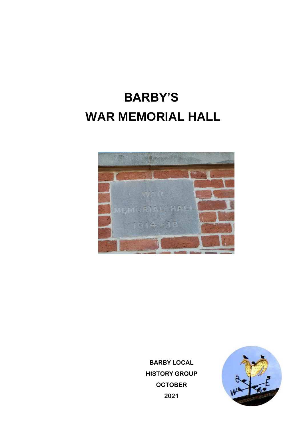## **BARBY'S WAR MEMORIAL HALL**



**BARBY LOCAL HISTORY GROUP OCTOBER 2021**

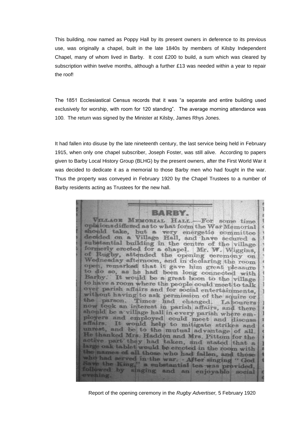This building, now named as Poppy Hall by its present owners in deference to its previous use, was originally a chapel, built in the late 1840s by members of Kilsby Independent Chapel, many of whom lived in Barby. It cost £200 to build, a sum which was cleared by subscription within twelve months, although a further £13 was needed within a year to repair the roof!

The 1851 Ecclesiastical Census records that it was "a separate and entire building used exclusively for worship, with room for 120 standing". The average morning attendance was 100. The return was signed by the Minister at Kilsby, James Rhys Jones.

It had fallen into disuse by the late nineteenth century, the last service being held in February 1915, when only one chapel subscriber, Joseph Foster, was still alive. According to papers given to Barby Local History Group (BLHG) by the present owners, after the First World War it was decided to dedicate it as a memorial to those Barby men who had fought in the war. Thus the property was conveyed in February 1920 by the Chapel Trustees to a number of Barby residents acting as Trustees for the new hall.



Report of the opening ceremony in the *Rugby Advertiser,* 5 February 1920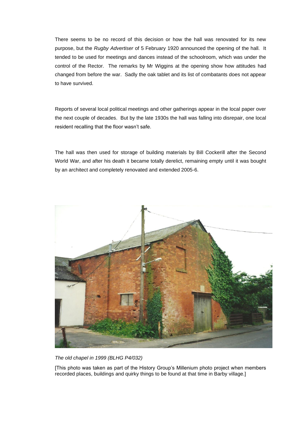There seems to be no record of this decision or how the hall was renovated for its new purpose, but the *Rugby Advertiser* of 5 February 1920 announced the opening of the hall. It tended to be used for meetings and dances instead of the schoolroom, which was under the control of the Rector. The remarks by Mr Wiggins at the opening show how attitudes had changed from before the war. Sadly the oak tablet and its list of combatants does not appear to have survived.

Reports of several local political meetings and other gatherings appear in the local paper over the next couple of decades. But by the late 1930s the hall was falling into disrepair, one local resident recalling that the floor wasn't safe.

The hall was then used for storage of building materials by Bill Cockerill after the Second World War, and after his death it became totally derelict, remaining empty until it was bought by an architect and completely renovated and extended 2005-6.



*The old chapel in 1999 (BLHG P4/032)*

[This photo was taken as part of the History Group's Millenium photo project when members recorded places, buildings and quirky things to be found at that time in Barby village.]